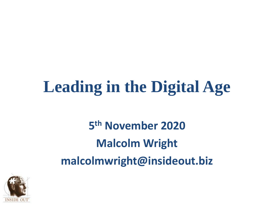# **Leading in the Digital Age**

**5 th November 2020 Malcolm Wright malcolmwright@insideout.biz**

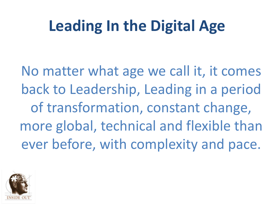# **Leading In the Digital Age**

No matter what age we call it, it comes back to Leadership, Leading in a period of transformation, constant change, more global, technical and flexible than ever before, with complexity and pace.

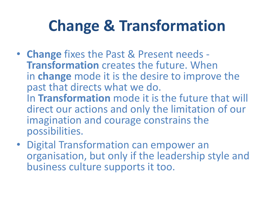# **Change & Transformation**

- **Change** fixes the Past & Present needs **Transformation** creates the future. When in **change** mode it is the desire to improve the past that directs what we do. In **Transformation** mode it is the future that will direct our actions and only the limitation of our imagination and courage constrains the possibilities.
- Digital Transformation can empower an organisation, but only if the leadership style and business culture supports it too.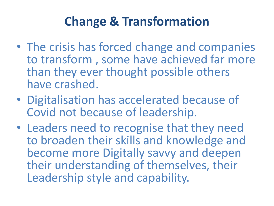#### **Change & Transformation**

- The crisis has forced change and companies to transform , some have achieved far more than they ever thought possible others have crashed.
- Digitalisation has accelerated because of Covid not because of leadership.
- Leaders need to recognise that they need to broaden their skills and knowledge and become more Digitally savvy and deepen their understanding of themselves, their Leadership style and capability.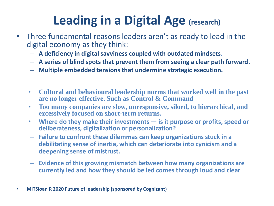#### **Leading in a Digital Age (research)**

- Three fundamental reasons leaders aren't as ready to lead in the digital economy as they think:
	- **A deficiency in digital savviness coupled with outdated mindsets.**
	- **A series of blind spots that prevent them from seeing a clear path forward.**
	- **Multiple embedded tensions that undermine strategic execution.**
	- **Cultural and behavioural leadership norms that worked well in the past are no longer effective. Such as Control & Command**
	- **Too many companies are slow, unresponsive, siloed, to hierarchical, and excessively focused on short-term returns.**
	- **Where do they make their investments — is it purpose or profits, speed or deliberateness, digitalization or personalization?**
	- **Failure to confront these dilemmas can keep organizations stuck in a debilitating sense of inertia, which can deteriorate into cynicism and a deepening sense of mistrust.**
	- **Evidence of this growing mismatch between how many organizations are currently led and how they should be led comes through loud and clear**
- **MITSloan R 2020 Future of leadership (sponsored by Cognizant)**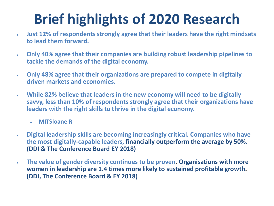## **Brief highlights of 2020 Research**

- **Just 12% of respondents strongly agree that their leaders have the right mindsets to lead them forward.**
- **Only 40% agree that their companies are building robust leadership pipelines to tackle the demands of the digital economy.**
- **Only 48% agree that their organizations are prepared to compete in digitally driven markets and economies.**
- **While 82% believe that leaders in the new economy will need to be digitally savvy, less than 10% of respondents strongly agree that their organizations have leaders with the right skills to thrive in the digital economy.**
	- **MITSloane R**
- **Digital leadership skills are becoming increasingly critical. Companies who have the most digitally-capable leaders, financially outperform the average by 50%. (DDI & The Conference Board EY 2018)**
- **The value of gender diversity continues to be proven. Organisations with more women in leadership are 1.4 times more likely to sustained profitable growth. (DDI, The Conference Board & EY 2018)**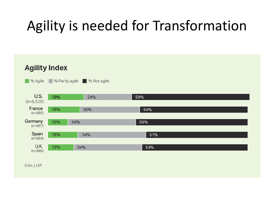### Agility is needed for Transformation

#### **Agility Index**



**GALLUP**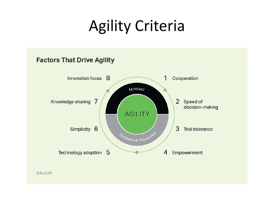# Agility Criteria

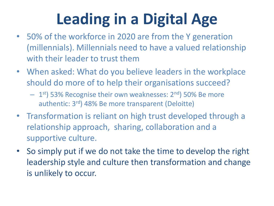# **Leading in a Digital Age**

- 50% of the workforce in 2020 are from the Y generation (millennials). Millennials need to have a valued relationship with their leader to trust them
- When asked: What do you believe leaders in the workplace should do more of to help their organisations succeed?
	- 1<sup>st</sup>) 53% Recognise their own weaknesses: 2<sup>nd</sup>) 50% Be more authentic: 3rd) 48% Be more transparent (Deloitte)
- Transformation is reliant on high trust developed through a relationship approach, sharing, collaboration and a supportive culture.
- So simply put if we do not take the time to develop the right leadership style and culture then transformation and change is unlikely to occur.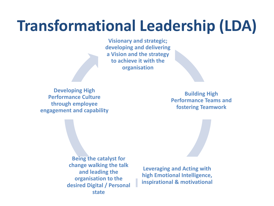# **Transformational Leadership (LDA)**

**Visionary and strategic; developing and delivering a Vision and the strategy to achieve it with the organisation**

**Developing High Performance Culture through employee engagement and capability**

**Building High Performance Teams and fostering Teamwork**

**Being the catalyst for change walking the talk and leading the organisation to the desired Digital / Personal state**

**Leveraging and Acting with high Emotional Intelligence, inspirational & motivational**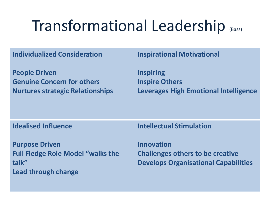## Transformational Leadership (Bass)

| <b>Individualized Consideration</b>                                                                      | <b>Inspirational Motivational</b>                                                                           |
|----------------------------------------------------------------------------------------------------------|-------------------------------------------------------------------------------------------------------------|
| <b>People Driven</b><br><b>Genuine Concern for others</b><br><b>Nurtures strategic Relationships</b>     | <b>Inspiring</b><br><b>Inspire Others</b><br><b>Leverages High Emotional Intelligence</b>                   |
| <b>Idealised Influence</b>                                                                               | <b>Intellectual Stimulation</b>                                                                             |
| <b>Purpose Driven</b><br><b>Full Fledge Role Model "walks the</b><br>talk"<br><b>Lead through change</b> | <b>Innovation</b><br><b>Challenges others to be creative</b><br><b>Develops Organisational Capabilities</b> |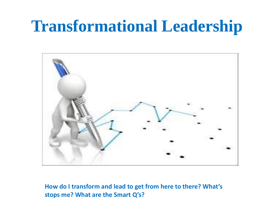### **Transformational Leadership**



#### **How do I transform and lead to get from here to there? What's stops me? What are the Smart Q's?**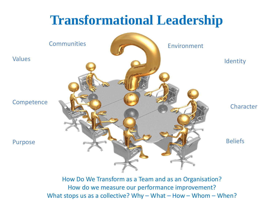#### **Transformational Leadership**



How Do We Transform as a Team and as an Organisation? How do we measure our performance improvement? What stops us as a collective? Why – What – How – Whom – When?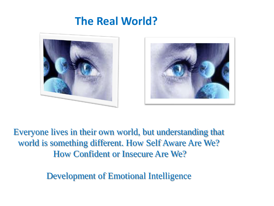#### **The Real World?**





Everyone lives in their own world, but understanding that world is something different. How Self Aware Are We? How Confident or Insecure Are We?

Development of Emotional Intelligence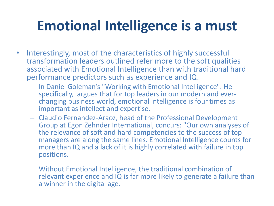#### **Emotional Intelligence is a must**

- Interestingly, most of the characteristics of highly successful transformation leaders outlined refer more to the soft qualities associated with Emotional Intelligence than with traditional hard performance predictors such as experience and IQ.
	- In Daniel Goleman's "Working with Emotional Intelligence". He specifically, argues that for top leaders in our modern and everchanging business world, emotional intelligence is four times as important as intellect and expertise.
	- Claudio Fernandez-Araoz, head of the Professional Development Group at Egon Zehnder International, concurs: "Our own analyses of the relevance of soft and hard competencies to the success of top managers are along the same lines. Emotional Intelligence counts for more than IQ and a lack of it is highly correlated with failure in top positions.

Without Emotional Intelligence, the traditional combination of relevant experience and IQ is far more likely to generate a failure than a winner in the digital age.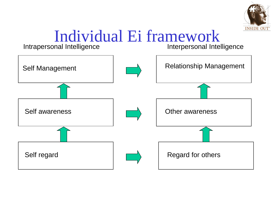

#### Individual Ei framework Interpersonal Intelligence

Self Management  $\begin{array}{|c|c|c|c|}\n\hline\n\end{array}$  Relationship Management Self awareness **I I N** Other awareness Self regard  $\left|\right|$   $\left|\right|$  Regard for others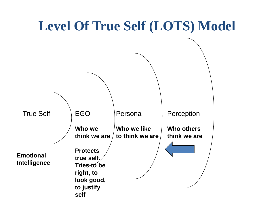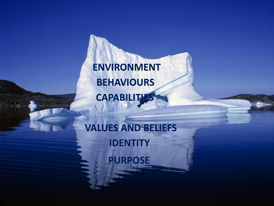**ENVIRONMENT BEHAVIOURS CAPABILITIES**

**VALUES AND BELIEFS IDENTITY PURPOSE**